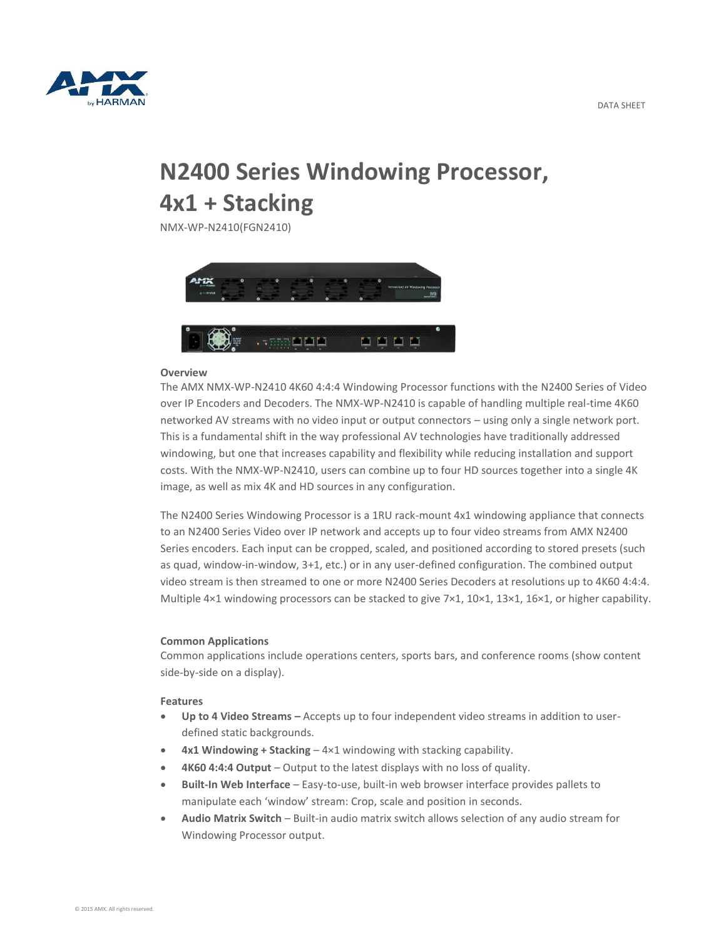

# **N2400 Series Windowing Processor, 4x1 + Stacking**

NMX-WP-N2410(FGN2410)



### **Overview**

The AMX NMX-WP-N2410 4K60 4:4:4 Windowing Processor functions with the N2400 Series of Video over IP Encoders and Decoders. The NMX-WP-N2410 is capable of handling multiple real-time 4K60 networked AV streams with no video input or output connectors – using only a single network port. This is a fundamental shift in the way professional AV technologies have traditionally addressed windowing, but one that increases capability and flexibility while reducing installation and support costs. With the NMX-WP-N2410, users can combine up to four HD sources together into a single 4K image, as well as mix 4K and HD sources in any configuration.

The N2400 Series Windowing Processor is a 1RU rack-mount 4x1 windowing appliance that connects to an N2400 Series Video over IP network and accepts up to four video streams from AMX N2400 Series encoders. Each input can be cropped, scaled, and positioned according to stored presets (such as quad, window-in-window, 3+1, etc.) or in any user-defined configuration. The combined output video stream is then streamed to one or more N2400 Series Decoders at resolutions up to 4K60 4:4:4. Multiple 4×1 windowing processors can be stacked to give 7×1, 10×1, 13×1, 16×1, or higher capability.

### **Common Applications**

Common applications include operations centers, sports bars, and conference rooms (show content side-by-side on a display).

### **Features**

- **Up to 4 Video Streams –** Accepts up to four independent video streams in addition to userdefined static backgrounds.
- **4x1 Windowing + Stacking** 4×1 windowing with stacking capability.
- **4K60 4:4:4 Output** Output to the latest displays with no loss of quality.
- **Built-In Web Interface** Easy-to-use, built-in web browser interface provides pallets to manipulate each 'window' stream: Crop, scale and position in seconds.
- **Audio Matrix Switch** Built-in audio matrix switch allows selection of any audio stream for Windowing Processor output.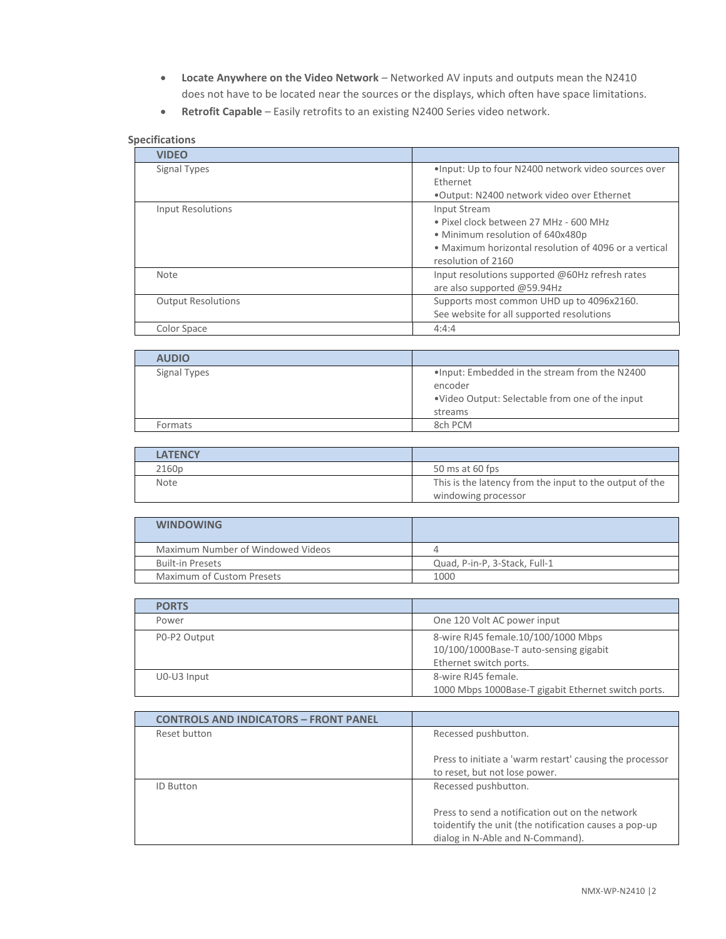- **Locate Anywhere on the Video Network** Networked AV inputs and outputs mean the N2410 does not have to be located near the sources or the displays, which often have space limitations.
- **Retrofit Capable** Easily retrofits to an existing N2400 Series video network.

## **Specifications**

| <b>VIDEO</b>              |                                                                                                                                                                           |
|---------------------------|---------------------------------------------------------------------------------------------------------------------------------------------------------------------------|
| Signal Types              | . Input: Up to four N2400 network video sources over<br>Ethernet<br>.Output: N2400 network video over Ethernet                                                            |
| Input Resolutions         | Input Stream<br>• Pixel clock between 27 MHz - 600 MHz<br>• Minimum resolution of 640x480p<br>• Maximum horizontal resolution of 4096 or a vertical<br>resolution of 2160 |
| <b>Note</b>               | Input resolutions supported @60Hz refresh rates<br>are also supported @59.94Hz                                                                                            |
| <b>Output Resolutions</b> | Supports most common UHD up to 4096x2160.<br>See website for all supported resolutions                                                                                    |
| Color Space               | 4:4:4                                                                                                                                                                     |

| <b>AUDIO</b> |                                                                                                                          |
|--------------|--------------------------------------------------------------------------------------------------------------------------|
| Signal Types | . Input: Embedded in the stream from the N2400<br>encoder<br>. Video Output: Selectable from one of the input<br>streams |
| Formats      | 8ch PCM                                                                                                                  |

| <b>LATENCY</b> |                                                         |
|----------------|---------------------------------------------------------|
| 2160p          | 50 ms at 60 fps                                         |
| <b>Note</b>    | This is the latency from the input to the output of the |
|                | windowing processor                                     |

| <b>WINDOWING</b>                  |                               |
|-----------------------------------|-------------------------------|
| Maximum Number of Windowed Videos |                               |
| <b>Built-in Presets</b>           | Quad, P-in-P, 3-Stack, Full-1 |
| Maximum of Custom Presets         | 1000                          |

| <b>PORTS</b> |                                                                                                         |
|--------------|---------------------------------------------------------------------------------------------------------|
| Power        | One 120 Volt AC power input                                                                             |
| P0-P2 Output | 8-wire RJ45 female.10/100/1000 Mbps<br>10/100/1000Base-T auto-sensing gigabit<br>Ethernet switch ports. |
| U0-U3 Input  | 8-wire RJ45 female.<br>1000 Mbps 1000Base-T gigabit Ethernet switch ports.                              |

| <b>CONTROLS AND INDICATORS - FRONT PANEL</b> |                                                                                                                                              |
|----------------------------------------------|----------------------------------------------------------------------------------------------------------------------------------------------|
| Reset button                                 | Recessed pushbutton.                                                                                                                         |
|                                              | Press to initiate a 'warm restart' causing the processor<br>to reset, but not lose power.                                                    |
| <b>ID Button</b>                             | Recessed pushbutton.                                                                                                                         |
|                                              | Press to send a notification out on the network<br>toidentify the unit (the notification causes a pop-up<br>dialog in N-Able and N-Command). |